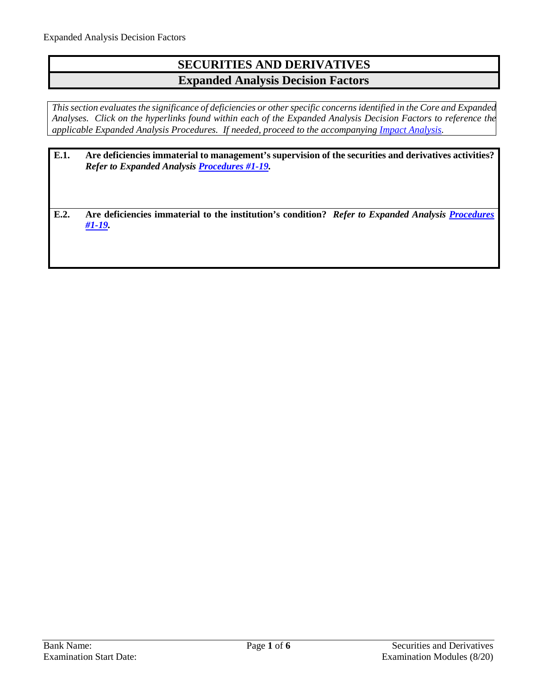# **SECURITIES AND DERIVATIVES Expanded Analysis Decision Factors**

*This section evaluates the significance of deficiencies or other specific concerns identified in the Core and Expanded Analyses. Click on the hyperlinks found within each of the Expanded Analysis Decision Factors to reference the applicable Expanded Analysis Procedures. If needed, proceed to the accompanying [Impact Analysis.](#page-5-0)*

| E.1. | Are deficiencies immaterial to management's supervision of the securities and derivatives activities?<br><b>Refer to Expanded Analysis Procedures #1-19.</b> |
|------|--------------------------------------------------------------------------------------------------------------------------------------------------------------|
| E.2. | Are deficiencies immaterial to the institution's condition? Refer to Expanded Analysis Procedures<br>$#1-19.$                                                |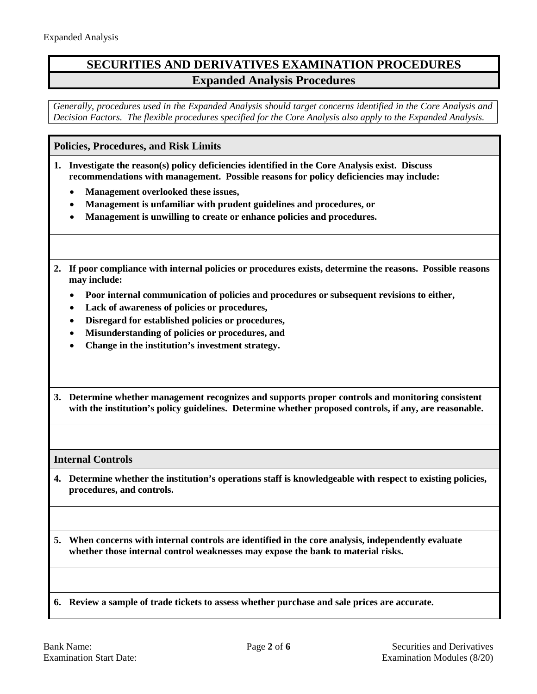## **SECURITIES AND DERIVATIVES EXAMINATION PROCEDURES Expanded Analysis Procedures**

*Generally, procedures used in the Expanded Analysis should target concerns identified in the Core Analysis and Decision Factors. The flexible procedures specified for the Core Analysis also apply to the Expanded Analysis.* 

### <span id="page-1-0"></span>**Policies, Procedures, and Risk Limits**

- **1. Investigate the reason(s) policy deficiencies identified in the Core Analysis exist. Discuss recommendations with management. Possible reasons for policy deficiencies may include:**
	- **Management overlooked these issues,**
	- **Management is unfamiliar with prudent guidelines and procedures, or**
	- **Management is unwilling to create or enhance policies and procedures.**
- **2. If poor compliance with internal policies or procedures exists, determine the reasons. Possible reasons may include:**
	- **Poor internal communication of policies and procedures or subsequent revisions to either,**
	- **Lack of awareness of policies or procedures,**
	- **Disregard for established policies or procedures,**
	- **Misunderstanding of policies or procedures, and**
	- **Change in the institution's investment strategy.**
- **3. Determine whether management recognizes and supports proper controls and monitoring consistent with the institution's policy guidelines. Determine whether proposed controls, if any, are reasonable.**

**Internal Controls**

**4. Determine whether the institution's operations staff is knowledgeable with respect to existing policies, procedures, and controls.** 

**5. When concerns with internal controls are identified in the core analysis, independently evaluate whether those internal control weaknesses may expose the bank to material risks.**

**6. Review a sample of trade tickets to assess whether purchase and sale prices are accurate.**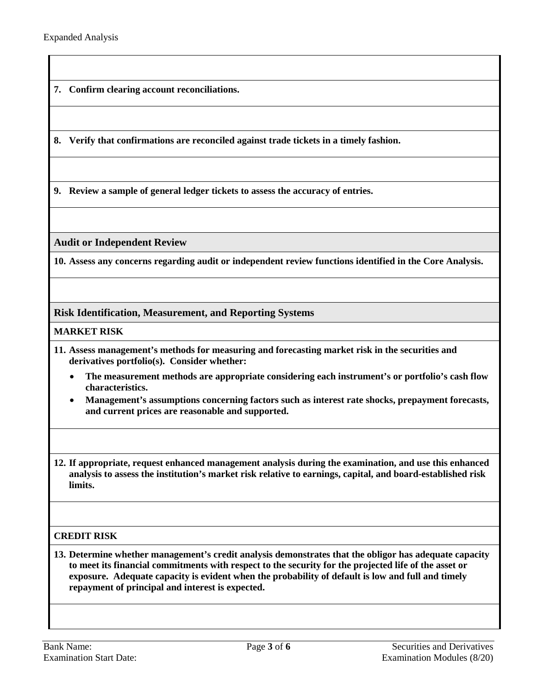**7. Confirm clearing account reconciliations.**

**8. Verify that confirmations are reconciled against trade tickets in a timely fashion.**

**9. Review a sample of general ledger tickets to assess the accuracy of entries.** 

**Audit or Independent Review**

**10. Assess any concerns regarding audit or independent review functions identified in the Core Analysis.**

### **Risk Identification, Measurement, and Reporting Systems**

#### **MARKET RISK**

- **11. Assess management's methods for measuring and forecasting market risk in the securities and derivatives portfolio(s). Consider whether:**
	- **The measurement methods are appropriate considering each instrument's or portfolio's cash flow characteristics.**
	- **Management's assumptions concerning factors such as interest rate shocks, prepayment forecasts, and current prices are reasonable and supported.**
- **12. If appropriate, request enhanced management analysis during the examination, and use this enhanced analysis to assess the institution's market risk relative to earnings, capital, and board-established risk limits.**

### **CREDIT RISK**

**13. Determine whether management's credit analysis demonstrates that the obligor has adequate capacity to meet its financial commitments with respect to the security for the projected life of the asset or exposure. Adequate capacity is evident when the probability of default is low and full and timely repayment of principal and interest is expected.**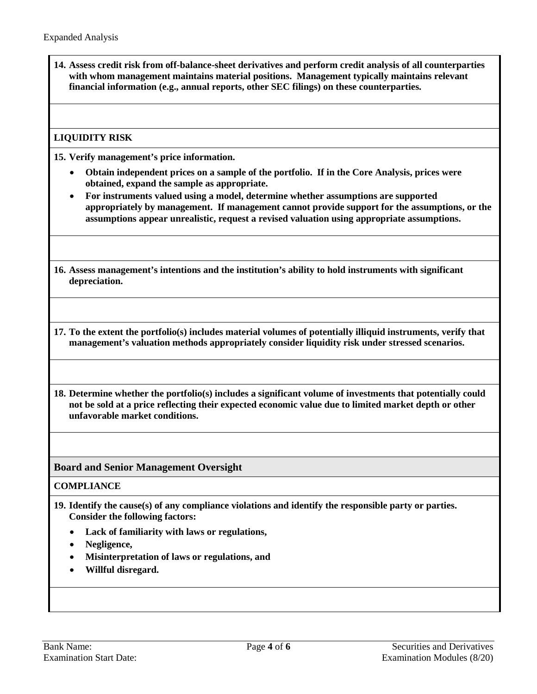**14. Assess credit risk from off-balance-sheet derivatives and perform credit analysis of all counterparties with whom management maintains material positions. Management typically maintains relevant financial information (e.g., annual reports, other SEC filings) on these counterparties.**

## **LIQUIDITY RISK**

**15. Verify management's price information.** 

- **Obtain independent prices on a sample of the portfolio. If in the Core Analysis, prices were obtained, expand the sample as appropriate.**
- **For instruments valued using a model, determine whether assumptions are supported appropriately by management. If management cannot provide support for the assumptions, or the assumptions appear unrealistic, request a revised valuation using appropriate assumptions.**

**16. Assess management's intentions and the institution's ability to hold instruments with significant depreciation.**

**17. To the extent the portfolio(s) includes material volumes of potentially illiquid instruments, verify that management's valuation methods appropriately consider liquidity risk under stressed scenarios.**

**18. Determine whether the portfolio(s) includes a significant volume of investments that potentially could not be sold at a price reflecting their expected economic value due to limited market depth or other unfavorable market conditions.**

**Board and Senior Management Oversight** 

#### **COMPLIANCE**

- **19. Identify the cause(s) of any compliance violations and identify the responsible party or parties. Consider the following factors:** 
	- **Lack of familiarity with laws or regulations,**
	- **Negligence,**
	- **Misinterpretation of laws or regulations, and**
	- **Willful disregard.**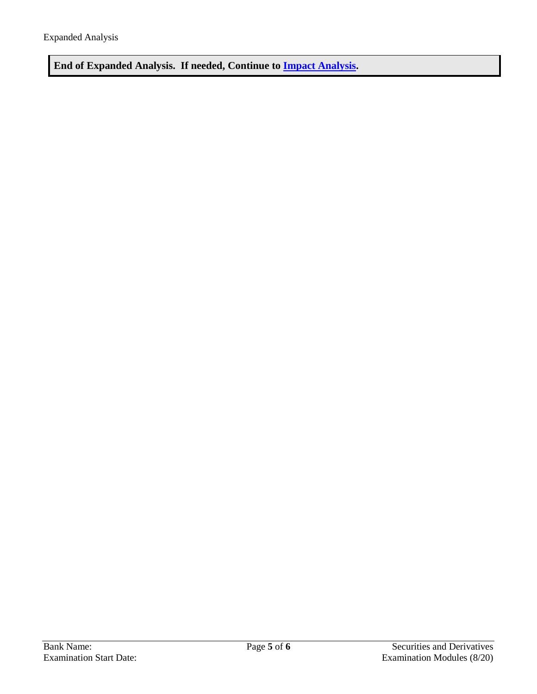**End of Expanded Analysis. If needed, Continue to [Impact Analysis.](#page-5-0)**